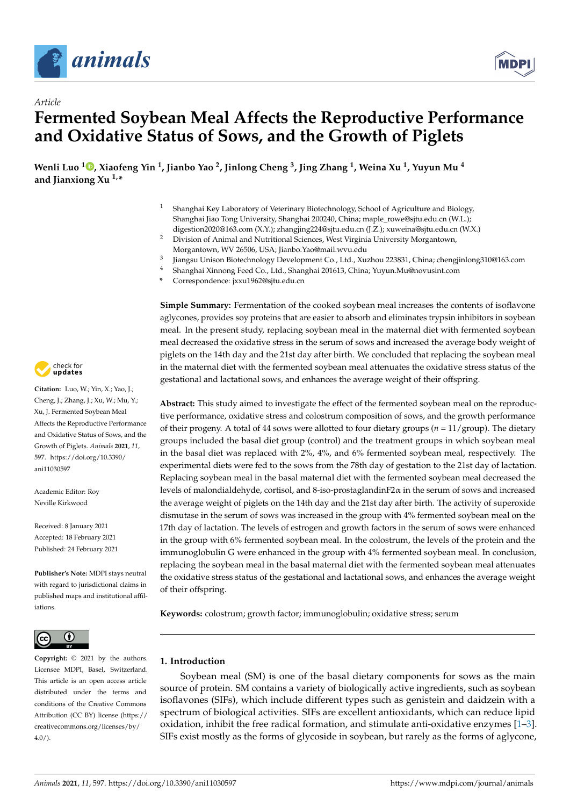

*Article*



# **Fermented Soybean Meal Affects the Reproductive Performance and Oxidative Status of Sows, and the Growth of Piglets**

 $\,$  Wenli Luo  $^{1}$  $^{1}$  $^{1}$   $\,$   $\,$   $\,$  Xiaofeng Yin  $^{1}$ , Jianbo Yao  $^{2}$ , Jinlong Cheng  $^{3}$ , Jing Zhang  $^{1}$ , Weina Xu  $^{1}$ , Yuyun Mu  $^{4}$ **and Jianxiong Xu 1,\***

- <sup>1</sup> Shanghai Key Laboratory of Veterinary Biotechnology, School of Agriculture and Biology, Shanghai Jiao Tong University, Shanghai 200240, China; maple\_rowe@sjtu.edu.cn (W.L.); digestion2020@163.com (X.Y.); zhangjing224@sjtu.edu.cn (J.Z.); xuweina@sjtu.edu.cn (W.X.)
- <sup>2</sup> Division of Animal and Nutritional Sciences, West Virginia University Morgantown, Morgantown, WV 26506, USA; Jianbo.Yao@mail.wvu.edu
- 3 Jiangsu Unison Biotechnology Development Co., Ltd., Xuzhou 223831, China; chengjinlong310@163.com
- <sup>4</sup> Shanghai Xinnong Feed Co., Ltd., Shanghai 201613, China; Yuyun.Mu@novusint.com
- **\*** Correspondence: jxxu1962@sjtu.edu.cn

**Simple Summary:** Fermentation of the cooked soybean meal increases the contents of isoflavone aglycones, provides soy proteins that are easier to absorb and eliminates trypsin inhibitors in soybean meal. In the present study, replacing soybean meal in the maternal diet with fermented soybean meal decreased the oxidative stress in the serum of sows and increased the average body weight of piglets on the 14th day and the 21st day after birth. We concluded that replacing the soybean meal in the maternal diet with the fermented soybean meal attenuates the oxidative stress status of the gestational and lactational sows, and enhances the average weight of their offspring.

**Abstract:** This study aimed to investigate the effect of the fermented soybean meal on the reproductive performance, oxidative stress and colostrum composition of sows, and the growth performance of their progeny. A total of 44 sows were allotted to four dietary groups (*n* = 11/group). The dietary groups included the basal diet group (control) and the treatment groups in which soybean meal in the basal diet was replaced with 2%, 4%, and 6% fermented soybean meal, respectively. The experimental diets were fed to the sows from the 78th day of gestation to the 21st day of lactation. Replacing soybean meal in the basal maternal diet with the fermented soybean meal decreased the levels of malondialdehyde, cortisol, and 8-iso-prostaglandinF2 $\alpha$  in the serum of sows and increased the average weight of piglets on the 14th day and the 21st day after birth. The activity of superoxide dismutase in the serum of sows was increased in the group with 4% fermented soybean meal on the 17th day of lactation. The levels of estrogen and growth factors in the serum of sows were enhanced in the group with 6% fermented soybean meal. In the colostrum, the levels of the protein and the immunoglobulin G were enhanced in the group with 4% fermented soybean meal. In conclusion, replacing the soybean meal in the basal maternal diet with the fermented soybean meal attenuates the oxidative stress status of the gestational and lactational sows, and enhances the average weight of their offspring.

**Keywords:** colostrum; growth factor; immunoglobulin; oxidative stress; serum

# **1. Introduction**

Soybean meal (SM) is one of the basal dietary components for sows as the main source of protein. SM contains a variety of biologically active ingredients, such as soybean isoflavones (SIFs), which include different types such as genistein and daidzein with a spectrum of biological activities. SIFs are excellent antioxidants, which can reduce lipid oxidation, inhibit the free radical formation, and stimulate anti-oxidative enzymes  $[1-3]$  $[1-3]$ . SIFs exist mostly as the forms of glycoside in soybean, but rarely as the forms of aglycone,



**Citation:** Luo, W.; Yin, X.; Yao, J.; Cheng, J.; Zhang, J.; Xu, W.; Mu, Y.; Xu, J. Fermented Soybean Meal Affects the Reproductive Performance and Oxidative Status of Sows, and the Growth of Piglets. *Animals* **2021**, *11*, 597. [https://doi.org/10.3390/](https://doi.org/10.3390/ani11030597) [ani11030597](https://doi.org/10.3390/ani11030597)

Academic Editor: Roy Neville Kirkwood

Received: 8 January 2021 Accepted: 18 February 2021 Published: 24 February 2021

**Publisher's Note:** MDPI stays neutral with regard to jurisdictional claims in published maps and institutional affiliations.



**Copyright:** © 2021 by the authors. Licensee MDPI, Basel, Switzerland. This article is an open access article distributed under the terms and conditions of the Creative Commons Attribution (CC BY) license (https:/[/](https://creativecommons.org/licenses/by/4.0/) [creativecommons.org/licenses/by/](https://creativecommons.org/licenses/by/4.0/)  $4.0/$ ).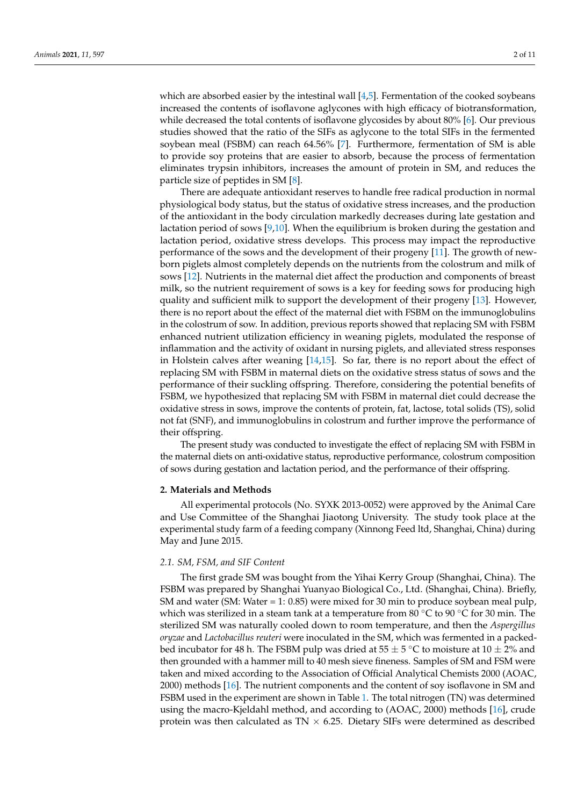which are absorbed easier by the intestinal wall  $[4,5]$  $[4,5]$ . Fermentation of the cooked soybeans increased the contents of isoflavone aglycones with high efficacy of biotransformation, while decreased the total contents of isoflavone glycosides by about 80% [\[6\]](#page-9-3). Our previous studies showed that the ratio of the SIFs as aglycone to the total SIFs in the fermented soybean meal (FSBM) can reach 64.56% [\[7\]](#page-9-4). Furthermore, fermentation of SM is able to provide soy proteins that are easier to absorb, because the process of fermentation eliminates trypsin inhibitors, increases the amount of protein in SM, and reduces the particle size of peptides in SM [\[8\]](#page-9-5).

There are adequate antioxidant reserves to handle free radical production in normal physiological body status, but the status of oxidative stress increases, and the production of the antioxidant in the body circulation markedly decreases during late gestation and lactation period of sows  $[9,10]$  $[9,10]$ . When the equilibrium is broken during the gestation and lactation period, oxidative stress develops. This process may impact the reproductive performance of the sows and the development of their progeny [\[11\]](#page-9-8). The growth of newborn piglets almost completely depends on the nutrients from the colostrum and milk of sows [\[12\]](#page-9-9). Nutrients in the maternal diet affect the production and components of breast milk, so the nutrient requirement of sows is a key for feeding sows for producing high quality and sufficient milk to support the development of their progeny [\[13\]](#page-9-10). However, there is no report about the effect of the maternal diet with FSBM on the immunoglobulins in the colostrum of sow. In addition, previous reports showed that replacing SM with FSBM enhanced nutrient utilization efficiency in weaning piglets, modulated the response of inflammation and the activity of oxidant in nursing piglets, and alleviated stress responses in Holstein calves after weaning [\[14](#page-9-11)[,15\]](#page-9-12). So far, there is no report about the effect of replacing SM with FSBM in maternal diets on the oxidative stress status of sows and the performance of their suckling offspring. Therefore, considering the potential benefits of FSBM, we hypothesized that replacing SM with FSBM in maternal diet could decrease the oxidative stress in sows, improve the contents of protein, fat, lactose, total solids (TS), solid not fat (SNF), and immunoglobulins in colostrum and further improve the performance of their offspring.

The present study was conducted to investigate the effect of replacing SM with FSBM in the maternal diets on anti-oxidative status, reproductive performance, colostrum composition of sows during gestation and lactation period, and the performance of their offspring.

#### **2. Materials and Methods**

All experimental protocols (No. SYXK 2013-0052) were approved by the Animal Care and Use Committee of the Shanghai Jiaotong University. The study took place at the experimental study farm of a feeding company (Xinnong Feed ltd, Shanghai, China) during May and June 2015.

# *2.1. SM, FSM, and SIF Content*

The first grade SM was bought from the Yihai Kerry Group (Shanghai, China). The FSBM was prepared by Shanghai Yuanyao Biological Co., Ltd. (Shanghai, China). Briefly, SM and water (SM: Water = 1: 0.85) were mixed for 30 min to produce soybean meal pulp, which was sterilized in a steam tank at a temperature from 80  $\degree$ C to 90  $\degree$ C for 30 min. The sterilized SM was naturally cooled down to room temperature, and then the *Aspergillus oryzae* and *Lactobacillus reuteri* were inoculated in the SM, which was fermented in a packedbed incubator for 48 h. The FSBM pulp was dried at 55  $\pm$  5 °C to moisture at 10  $\pm$  2% and then grounded with a hammer mill to 40 mesh sieve fineness. Samples of SM and FSM were taken and mixed according to the Association of Official Analytical Chemists 2000 (AOAC, 2000) methods [\[16\]](#page-9-13). The nutrient components and the content of soy isoflavone in SM and FSBM used in the experiment are shown in Table [1.](#page-2-0) The total nitrogen (TN) was determined using the macro-Kjeldahl method, and according to (AOAC, 2000) methods [\[16\]](#page-9-13), crude protein was then calculated as  $TN \times 6.25$ . Dietary SIFs were determined as described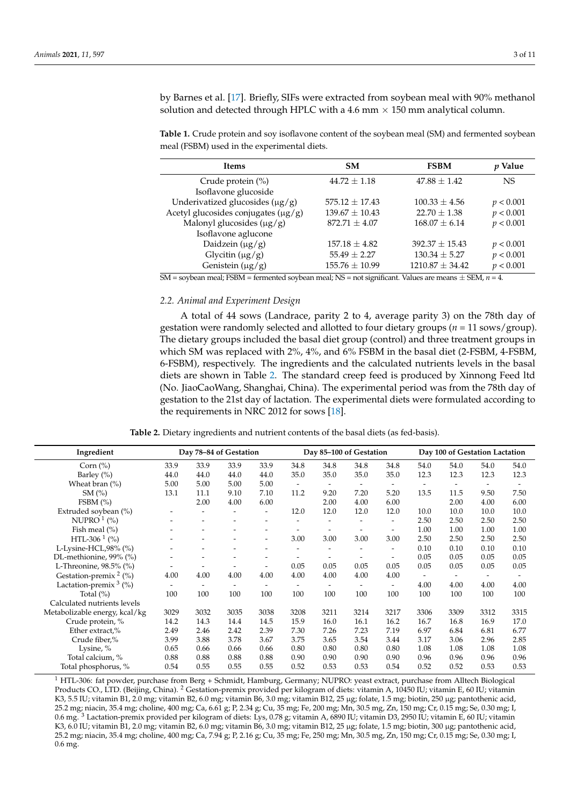by Barnes et al. [\[17\]](#page-9-14). Briefly, SIFs were extracted from soybean meal with 90% methanol solution and detected through HPLC with a 4.6 mm  $\times$  150 mm analytical column.

<span id="page-2-0"></span>**Table 1.** Crude protein and soy isoflavone content of the soybean meal (SM) and fermented soybean meal (FSBM) used in the experimental diets.

| <b>Ifems</b>                             | <b>SM</b>          | <b>FSBM</b>         | <i>v</i> Value |
|------------------------------------------|--------------------|---------------------|----------------|
| Crude protein $(\%)$                     | $44.72 \pm 1.18$   | $47.88 \pm 1.42$    | NS             |
| Isoflavone glucoside                     |                    |                     |                |
| Underivatized glucosides $(\mu g/g)$     | $575.12 \pm 17.43$ | $100.33 \pm 4.56$   | p < 0.001      |
| Acetyl glucosides conjugates $(\mu g/g)$ | $139.67 \pm 10.43$ | $22.70 + 1.38$      | p < 0.001      |
| Malonyl glucosides $(\mu g/g)$           | $872.71 \pm 4.07$  | $168.07 \pm 6.14$   | p < 0.001      |
| Isoflavone aglucone                      |                    |                     |                |
| Daidzein $(\mu g/g)$                     | $157.18 \pm 4.82$  | $392.37 \pm 15.43$  | p < 0.001      |
| Glycitin $(\mu g/g)$                     | $55.49 \pm 2.27$   | $130.34 \pm 5.27$   | p < 0.001      |
| Genistein $(\mu g/g)$                    | $155.76 \pm 10.99$ | $1210.87 \pm 34.42$ | p < 0.001      |

SM = soybean meal; FSBM = fermented soybean meal; NS = not significant. Values are means ± SEM, *n* = 4.

# *2.2. Animal and Experiment Design*

A total of 44 sows (Landrace, parity 2 to 4, average parity 3) on the 78th day of gestation were randomly selected and allotted to four dietary groups (*n* = 11 sows/group). The dietary groups included the basal diet group (control) and three treatment groups in which SM was replaced with 2%, 4%, and 6% FSBM in the basal diet (2-FSBM, 4-FSBM, 6-FSBM), respectively. The ingredients and the calculated nutrients levels in the basal diets are shown in Table [2.](#page-2-1) The standard creep feed is produced by Xinnong Feed ltd (No. JiaoCaoWang, Shanghai, China). The experimental period was from the 78th day of gestation to the 21st day of lactation. The experimental diets were formulated according to the requirements in NRC 2012 for sows [\[18\]](#page-9-15).

**Table 2.** Dietary ingredients and nutrient contents of the basal diets (as fed-basis).

<span id="page-2-1"></span>

| Ingredient                    |      | Day 78-84 of Gestation   |      |                          |                          |                          | Day 85-100 of Gestation  |      |                          |      | Day 100 of Gestation Lactation |      |
|-------------------------------|------|--------------------------|------|--------------------------|--------------------------|--------------------------|--------------------------|------|--------------------------|------|--------------------------------|------|
| Corn $(\% )$                  | 33.9 | 33.9                     | 33.9 | 33.9                     | 34.8                     | 34.8                     | 34.8                     | 34.8 | 54.0                     | 54.0 | 54.0                           | 54.0 |
| Barley $(\% )$                | 44.0 | 44.0                     | 44.0 | 44.0                     | 35.0                     | 35.0                     | 35.0                     | 35.0 | 12.3                     | 12.3 | 12.3                           | 12.3 |
| Wheat bran $(\% )$            | 5.00 | 5.00                     | 5.00 | 5.00                     | $\overline{\phantom{a}}$ | $\overline{\phantom{a}}$ | $\overline{\phantom{0}}$ |      |                          |      |                                |      |
| SM(%)                         | 13.1 | 11.1                     | 9.10 | 7.10                     | 11.2                     | 9.20                     | 7.20                     | 5.20 | 13.5                     | 11.5 | 9.50                           | 7.50 |
| FSBM $(\% )$                  |      | 2.00                     | 4.00 | 6.00                     |                          | 2.00                     | 4.00                     | 6.00 |                          | 2.00 | 4.00                           | 6.00 |
| Extruded soybean (%)          |      |                          |      | $\overline{\phantom{a}}$ | 12.0                     | 12.0                     | 12.0                     | 12.0 | 10.0                     | 10.0 | 10.0                           | 10.0 |
| NUPRO $1$ (%)                 |      |                          |      |                          |                          |                          |                          |      | 2.50                     | 2.50 | 2.50                           | 2.50 |
| Fish meal $(\% )$             |      |                          |      |                          |                          |                          |                          |      | 1.00                     | 1.00 | 1.00                           | 1.00 |
| HTL-306 <sup>1</sup> (%)      |      |                          |      | $\overline{\phantom{a}}$ | 3.00                     | 3.00                     | 3.00                     | 3.00 | 2.50                     | 2.50 | 2.50                           | 2.50 |
| L-Lysine-HCL,98% (%)          |      |                          |      |                          |                          |                          |                          |      | 0.10                     | 0.10 | 0.10                           | 0.10 |
| DL-methionine, 99% (%)        |      |                          |      |                          |                          |                          |                          |      | 0.05                     | 0.05 | 0.05                           | 0.05 |
| L-Threonine, 98.5% (%)        |      |                          |      |                          | 0.05                     | 0.05                     | 0.05                     | 0.05 | 0.05                     | 0.05 | 0.05                           | 0.05 |
| Gestation-premix $2$ (%)      | 4.00 | 4.00                     | 4.00 | 4.00                     | 4.00                     | 4.00                     | 4.00                     | 4.00 | $\overline{\phantom{a}}$ |      |                                |      |
| Lactation-premix $3$ (%)      |      | $\overline{\phantom{a}}$ |      |                          |                          |                          | $\overline{\phantom{a}}$ |      | 4.00                     | 4.00 | 4.00                           | 4.00 |
| Total $(\%)$                  | 100  | 100                      | 100  | 100                      | 100                      | 100                      | 100                      | 100  | 100                      | 100  | 100                            | 100  |
| Calculated nutrients levels   |      |                          |      |                          |                          |                          |                          |      |                          |      |                                |      |
| Metabolizable energy, kcal/kg | 3029 | 3032                     | 3035 | 3038                     | 3208                     | 3211                     | 3214                     | 3217 | 3306                     | 3309 | 3312                           | 3315 |
| Crude protein, %              | 14.2 | 14.3                     | 14.4 | 14.5                     | 15.9                     | 16.0                     | 16.1                     | 16.2 | 16.7                     | 16.8 | 16.9                           | 17.0 |
| Ether extract,%               | 2.49 | 2.46                     | 2.42 | 2.39                     | 7.30                     | 7.26                     | 7.23                     | 7.19 | 6.97                     | 6.84 | 6.81                           | 6.77 |
| Crude fiber,%                 | 3.99 | 3.88                     | 3.78 | 3.67                     | 3.75                     | 3.65                     | 3.54                     | 3.44 | 3.17                     | 3.06 | 2.96                           | 2.85 |
| Lysine, %                     | 0.65 | 0.66                     | 0.66 | 0.66                     | 0.80                     | 0.80                     | 0.80                     | 0.80 | 1.08                     | 1.08 | 1.08                           | 1.08 |
| Total calcium, %              | 0.88 | 0.88                     | 0.88 | 0.88                     | 0.90                     | 0.90                     | 0.90                     | 0.90 | 0.96                     | 0.96 | 0.96                           | 0.96 |
| Total phosphorus, %           | 0.54 | 0.55                     | 0.55 | 0.55                     | 0.52                     | 0.53                     | 0.53                     | 0.54 | 0.52                     | 0.52 | 0.53                           | 0.53 |

<sup>1</sup> HTL-306: fat powder, purchase from Berg + Schmidt, Hamburg, Germany; NUPRO: yeast extract, purchase from Alltech Biological Products CO., LTD. (Beijing, China). <sup>2</sup> Gestation-premix provided per kilogram of diets: vitamin A, 10450 IU; vitamin E, 60 IU; vitamin K3, 5.5 IU; vitamin B1, 2.0 mg; vitamin B2, 6.0 mg; vitamin B6, 3.0 mg; vitamin B12, 25 µg; folate, 1.5 mg; biotin, 250 µg; pantothenic acid, 25.2 mg; niacin, 35.4 mg; choline, 400 mg; Ca, 6.61 g; P, 2.34 g; Cu, 35 mg; Fe, 200 mg; Mn, 30.5 mg, Zn, 150 mg; Cr, 0.15 mg; Se, 0.30 mg; I, 0.6 mg. <sup>3</sup> Lactation-premix provided per kilogram of diets: Lys, 0.78 g; vitamin A, 6890 IU; vitamin D3, 2950 IU; vitamin E, 60 IU; vitamin K3, 6.0 IU; vitamin B1, 2.0 mg; vitamin B2, 6.0 mg; vitamin B6, 3.0 mg; vitamin B12, 25 µg; folate, 1.5 mg; biotin, 300 µg; pantothenic acid, 25.2 mg; niacin, 35.4 mg; choline, 400 mg; Ca, 7.94 g; P, 2.16 g; Cu, 35 mg; Fe, 250 mg; Mn, 30.5 mg, Zn, 150 mg; Cr, 0.15 mg; Se, 0.30 mg; I, 0.6 mg.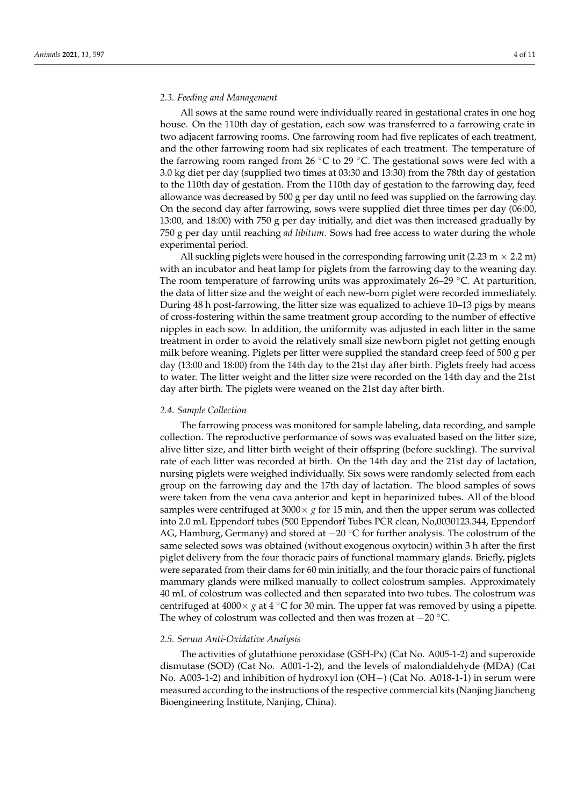# *2.3. Feeding and Management*

All sows at the same round were individually reared in gestational crates in one hog house. On the 110th day of gestation, each sow was transferred to a farrowing crate in two adjacent farrowing rooms. One farrowing room had five replicates of each treatment, and the other farrowing room had six replicates of each treatment. The temperature of the farrowing room ranged from 26  $°C$  to 29  $°C$ . The gestational sows were fed with a 3.0 kg diet per day (supplied two times at 03:30 and 13:30) from the 78th day of gestation to the 110th day of gestation. From the 110th day of gestation to the farrowing day, feed allowance was decreased by 500 g per day until no feed was supplied on the farrowing day. On the second day after farrowing, sows were supplied diet three times per day (06:00, 13:00, and 18:00) with 750 g per day initially, and diet was then increased gradually by 750 g per day until reaching *ad libitum*. Sows had free access to water during the whole experimental period.

All suckling piglets were housed in the corresponding farrowing unit (2.23 m  $\times$  2.2 m) with an incubator and heat lamp for piglets from the farrowing day to the weaning day. The room temperature of farrowing units was approximately 26–29  $°C$ . At parturition, the data of litter size and the weight of each new-born piglet were recorded immediately. During 48 h post-farrowing, the litter size was equalized to achieve 10–13 pigs by means of cross-fostering within the same treatment group according to the number of effective nipples in each sow. In addition, the uniformity was adjusted in each litter in the same treatment in order to avoid the relatively small size newborn piglet not getting enough milk before weaning. Piglets per litter were supplied the standard creep feed of 500 g per day (13:00 and 18:00) from the 14th day to the 21st day after birth. Piglets freely had access to water. The litter weight and the litter size were recorded on the 14th day and the 21st day after birth. The piglets were weaned on the 21st day after birth.

#### *2.4. Sample Collection*

The farrowing process was monitored for sample labeling, data recording, and sample collection. The reproductive performance of sows was evaluated based on the litter size, alive litter size, and litter birth weight of their offspring (before suckling). The survival rate of each litter was recorded at birth. On the 14th day and the 21st day of lactation, nursing piglets were weighed individually. Six sows were randomly selected from each group on the farrowing day and the 17th day of lactation. The blood samples of sows were taken from the vena cava anterior and kept in heparinized tubes. All of the blood samples were centrifuged at  $3000 \times g$  for 15 min, and then the upper serum was collected into 2.0 mL Eppendorf tubes (500 Eppendorf Tubes PCR clean, No,0030123.344, Eppendorf AG, Hamburg, Germany) and stored at −20 °C for further analysis. The colostrum of the same selected sows was obtained (without exogenous oxytocin) within 3 h after the first piglet delivery from the four thoracic pairs of functional mammary glands. Briefly, piglets were separated from their dams for 60 min initially, and the four thoracic pairs of functional mammary glands were milked manually to collect colostrum samples. Approximately 40 mL of colostrum was collected and then separated into two tubes. The colostrum was centrifuged at  $4000 \times g$  at  $4 °C$  for 30 min. The upper fat was removed by using a pipette. The whey of colostrum was collected and then was frozen at  $-20^{\circ}$ C.

#### *2.5. Serum Anti-Oxidative Analysis*

The activities of glutathione peroxidase (GSH-Px) (Cat No. A005-1-2) and superoxide dismutase (SOD) (Cat No. A001-1-2), and the levels of malondialdehyde (MDA) (Cat No. A003-1-2) and inhibition of hydroxyl ion (OH−) (Cat No. A018-1-1) in serum were measured according to the instructions of the respective commercial kits (Nanjing Jiancheng Bioengineering Institute, Nanjing, China).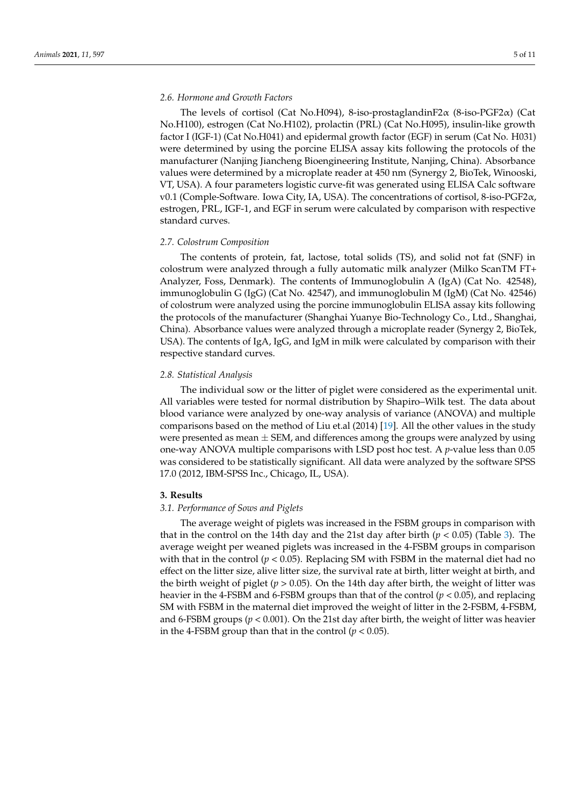# *2.6. Hormone and Growth Factors*

The levels of cortisol (Cat No.H094), 8-iso-prostaglandinF2α (8-iso-PGF2α) (Cat No.H100), estrogen (Cat No.H102), prolactin (PRL) (Cat No.H095), insulin-like growth factor I (IGF-1) (Cat No.H041) and epidermal growth factor (EGF) in serum (Cat No. H031) were determined by using the porcine ELISA assay kits following the protocols of the manufacturer (Nanjing Jiancheng Bioengineering Institute, Nanjing, China). Absorbance values were determined by a microplate reader at 450 nm (Synergy 2, BioTek, Winooski, VT, USA). A four parameters logistic curve-fit was generated using ELISA Calc software v0.1 (Comple-Software. Iowa City, IA, USA). The concentrations of cortisol, 8-iso-PGF2α, estrogen, PRL, IGF-1, and EGF in serum were calculated by comparison with respective standard curves.

#### *2.7. Colostrum Composition*

The contents of protein, fat, lactose, total solids (TS), and solid not fat (SNF) in colostrum were analyzed through a fully automatic milk analyzer (Milko ScanTM FT+ Analyzer, Foss, Denmark). The contents of Immunoglobulin A (IgA) (Cat No. 42548), immunoglobulin G (IgG) (Cat No. 42547), and immunoglobulin M (IgM) (Cat No. 42546) of colostrum were analyzed using the porcine immunoglobulin ELISA assay kits following the protocols of the manufacturer (Shanghai Yuanye Bio-Technology Co., Ltd., Shanghai, China). Absorbance values were analyzed through a microplate reader (Synergy 2, BioTek, USA). The contents of IgA, IgG, and IgM in milk were calculated by comparison with their respective standard curves.

### *2.8. Statistical Analysis*

The individual sow or the litter of piglet were considered as the experimental unit. All variables were tested for normal distribution by Shapiro–Wilk test. The data about blood variance were analyzed by one-way analysis of variance (ANOVA) and multiple comparisons based on the method of Liu et.al (2014) [\[19\]](#page-9-16). All the other values in the study were presented as mean  $\pm$  SEM, and differences among the groups were analyzed by using one-way ANOVA multiple comparisons with LSD post hoc test. A *p*-value less than 0.05 was considered to be statistically significant. All data were analyzed by the software SPSS 17.0 (2012, IBM-SPSS Inc., Chicago, IL, USA).

#### **3. Results**

# *3.1. Performance of Sows and Piglets*

The average weight of piglets was increased in the FSBM groups in comparison with that in the control on the 14th day and the 21st day after birth  $(p < 0.05)$  (Table [3\)](#page-5-0). The average weight per weaned piglets was increased in the 4-FSBM groups in comparison with that in the control ( $p < 0.05$ ). Replacing SM with FSBM in the maternal diet had no effect on the litter size, alive litter size, the survival rate at birth, litter weight at birth, and the birth weight of piglet ( $p > 0.05$ ). On the 14th day after birth, the weight of litter was heavier in the 4-FSBM and 6-FSBM groups than that of the control (*p* < 0.05), and replacing SM with FSBM in the maternal diet improved the weight of litter in the 2-FSBM, 4-FSBM, and 6-FSBM groups (*p* < 0.001). On the 21st day after birth, the weight of litter was heavier in the 4-FSBM group than that in the control ( $p < 0.05$ ).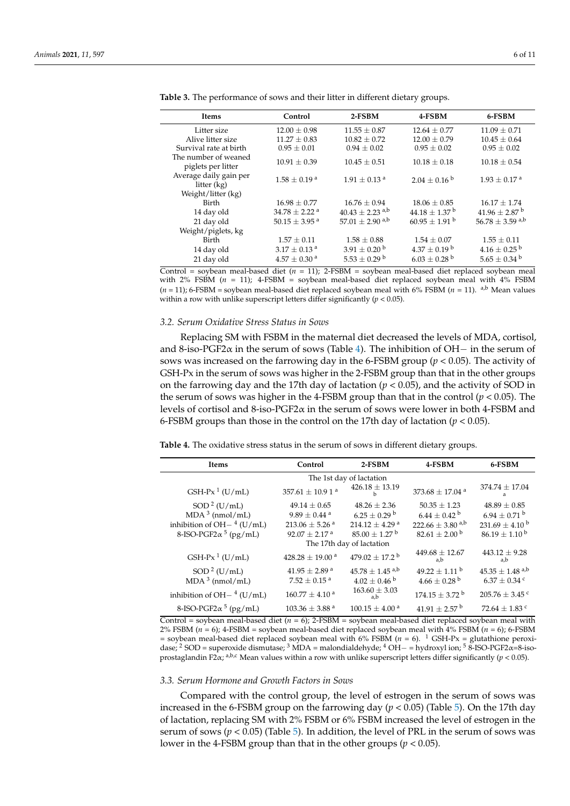| <b>Items</b>                               | Control                       | $2-FSBM$                        | 4-FSBM                        | 6-FSBM                          |
|--------------------------------------------|-------------------------------|---------------------------------|-------------------------------|---------------------------------|
| Litter size                                | $12.00 \pm 0.98$              | $11.55 \pm 0.87$                | $12.64 \pm 0.77$              | $11.09 \pm 0.71$                |
| Alive litter size                          | $11.27 \pm 0.83$              | $10.82 \pm 0.72$                | $12.00 \pm 0.79$              | $10.45 \pm 0.64$                |
| Survival rate at birth                     | $0.95 \pm 0.01$               | $0.94 \pm 0.02$                 | $0.95 \pm 0.02$               | $0.95 \pm 0.02$                 |
| The number of weaned<br>piglets per litter | $10.91 \pm 0.39$              | $10.45 \pm 0.51$                | $10.18 \pm 0.18$              | $10.18 \pm 0.54$                |
| Average daily gain per<br>litter $(kg)$    | $1.58 \pm 0.19$ <sup>a</sup>  | $1.91 \pm 0.13$ <sup>a</sup>    | $2.04 + 0.16^{b}$             | $1.93 \pm 0.17$ <sup>a</sup>    |
| Weight/litter (kg)                         |                               |                                 |                               |                                 |
| Birth                                      | $16.98 \pm 0.77$              | $16.76 \pm 0.94$                | $18.06 \pm 0.85$              | $16.17 \pm 1.74$                |
| 14 day old                                 | $34.78 \pm 2.22$ <sup>a</sup> | $40.43 \pm 2.23$ <sup>a,b</sup> | $44.18 \pm 1.37$ <sup>b</sup> | $41.96 \pm 2.87$ <sup>b</sup>   |
| 21 day old                                 | 50.15 $\pm$ 3.95 $^{a}$       | $57.01 + 2.90$ <sup>a,b</sup>   | $60.95 + 1.91$ <sup>b</sup>   | $56.78 \pm 3.59$ <sup>a,b</sup> |
| Weight/piglets, kg                         |                               |                                 |                               |                                 |
| Birth                                      | $1.57 \pm 0.11$               | $1.58 \pm 0.88$                 | $1.54 \pm 0.07$               | $1.55 \pm 0.11$                 |
| 14 day old                                 | $3.17 \pm 0.13$ <sup>a</sup>  | $3.91 \pm 0.20^{\mathrm{b}}$    | $4.37 \pm 0.19^{\mathrm{b}}$  | $4.16 \pm 0.25^{\text{ b}}$     |
| 21 day old                                 | $4.57 \pm 0.30$ <sup>a</sup>  | $5.53 + 0.29$ <sup>b</sup>      | $6.03 \pm 0.28$ <sup>b</sup>  | $5.65 \pm 0.34^{\mathrm{b}}$    |

<span id="page-5-0"></span>**Table 3.** The performance of sows and their litter in different dietary groups.

Control = soybean meal-based diet (*n* = 11); 2-FSBM = soybean meal-based diet replaced soybean meal with  $2\%$  FSBM  $(n = 11)$ ; 4-FSBM = soybean meal-based diet replaced soybean meal with  $4\%$  FSBM (*n* = 11); 6-FSBM = soybean meal-based diet replaced soybean meal with 6% FSBM (*n* = 11). a,b Mean values within a row with unlike superscript letters differ significantly  $(p < 0.05)$ .

# *3.2. Serum Oxidative Stress Status in Sows*

Replacing SM with FSBM in the maternal diet decreased the levels of MDA, cortisol, and 8-iso-PGF2 $\alpha$  in the serum of sows (Table [4\)](#page-5-1). The inhibition of OH− in the serum of sows was increased on the farrowing day in the 6-FSBM group (*p* < 0.05). The activity of GSH-Px in the serum of sows was higher in the 2-FSBM group than that in the other groups on the farrowing day and the 17th day of lactation ( $p < 0.05$ ), and the activity of SOD in the serum of sows was higher in the 4-FSBM group than that in the control  $(p < 0.05)$ . The levels of cortisol and 8-iso-PGF2 $\alpha$  in the serum of sows were lower in both 4-FSBM and 6-FSBM groups than those in the control on the 17th day of lactation ( $p < 0.05$ ).

<span id="page-5-1"></span>**Table 4.** The oxidative stress status in the serum of sows in different dietary groups.

| Items                                    | Control                          | 2-FSBM                         | 4-FSBM                           | 6-FSBM                          |  |  |  |  |
|------------------------------------------|----------------------------------|--------------------------------|----------------------------------|---------------------------------|--|--|--|--|
|                                          | The 1st day of lactation         |                                |                                  |                                 |  |  |  |  |
| GSH-Px <sup>1</sup> ( $U/mL$ )           | 357.61 $\pm$ 10.9 1 <sup>a</sup> | $426.18 \pm 13.19$<br>b        | 373.68 $\pm$ 17.04 <sup>a</sup>  | $374.74 \pm 17.04$<br>a         |  |  |  |  |
| $SOD2$ (U/mL)                            | $49.14 \pm 0.65$                 | $48.26 \pm 2.36$               | $50.35 \pm 1.23$                 | $48.89 \pm 0.85$                |  |  |  |  |
| $MDA3$ (nmol/mL)                         | $9.89 \pm 0.44$ <sup>a</sup>     | $6.25 \pm 0.29$ b              | $6.44 \pm 0.42$ <sup>b</sup>     | $6.94 \pm 0.71$ <sup>b</sup>    |  |  |  |  |
| inhibition of $OH-$ <sup>4</sup> (U/mL)  | $213.06 \pm 5.26$ <sup>a</sup>   | $214.12 \pm 4.29$ <sup>a</sup> | $222.66 \pm 3.80$ <sup>a,b</sup> | $231.69 \pm 4.10^{\mathrm{b}}$  |  |  |  |  |
| 8-ISO-PGF2 $\alpha$ <sup>5</sup> (pg/mL) | $92.07 \pm 2.17$ <sup>a</sup>    | $85.00 \pm 1.27$ b             | $82.61 \pm 2.00^{\mathrm{b}}$    | $86.19 \pm 1.10^{\mathrm{b}}$   |  |  |  |  |
| The 17th day of lactation                |                                  |                                |                                  |                                 |  |  |  |  |
| GSH-Px <sup>1</sup> (U/mL)               | $428.28 \pm 19.00$ <sup>a</sup>  | $479.02 + 17.2^{\mathrm{b}}$   | $449.68 \pm 12.67$<br>a.b        | $443.12 \pm 9.28$<br>a,b        |  |  |  |  |
| $SOD2$ (U/mL)                            | $41.95 \pm 2.89$ <sup>a</sup>    | $45.78 + 1.45$ <sup>a,b</sup>  | $49.22 + 1.11^{b}$               | $45.35 \pm 1.48$ <sup>a,b</sup> |  |  |  |  |
| $MDA3$ (nmol/mL)                         | $7.52 \pm 0.15$ <sup>a</sup>     | $4.02 \pm 0.46^{\mathrm{b}}$   | $4.66 \pm 0.28$ <sup>b</sup>     | $6.37 \pm 0.34$ c               |  |  |  |  |
| inhibition of $OH-$ <sup>4</sup> (U/mL)  | $160.77 \pm 4.10^{\text{ a}}$    | $163.60 \pm 3.03$<br>a,b       | $174.15 \pm 3.72$ <sup>b</sup>   | $205.76 \pm 3.45$ c             |  |  |  |  |
| 8-ISO-PGF2 $\alpha$ <sup>5</sup> (pg/mL) | $103.36 \pm 3.88$ <sup>a</sup>   | $100.15 \pm 4.00^{\text{ a}}$  | $41.91 \pm 2.57$ <sup>b</sup>    | 72.64 $\pm$ 1.83 $^{\circ}$     |  |  |  |  |

Control = soybean meal-based diet (*n* = 6); 2-FSBM = soybean meal-based diet replaced soybean meal with 2% FSBM (*n* = 6); 4-FSBM = soybean meal-based diet replaced soybean meal with 4% FSBM (*n* = 6); 6-FSBM = soybean meal-based diet replaced soybean meal with 6% FSBM (*n* = 6). <sup>1</sup> GSH-Px = glutathione peroxidase; <sup>2</sup> SOD = superoxide dismutase; <sup>3</sup> MDA = malondialdehyde; <sup>4</sup> OH – = hydroxyl ion; <sup>5</sup> 8-ISO-PGF2 $\alpha$ =8-isoprostaglandin F2α; <sup>a,b,c</sup> Mean values within a row with unlike superscript letters differ significantly (*p* < 0.05).

#### *3.3. Serum Hormone and Growth Factors in Sows*

Compared with the control group, the level of estrogen in the serum of sows was increased in the 6-FSBM group on the farrowing day ( $p < 0.05$ ) (Table [5\)](#page-6-0). On the 17th day of lactation, replacing SM with 2% FSBM or 6% FSBM increased the level of estrogen in the serum of sows ( $p < 0.05$ ) (Table [5\)](#page-6-0). In addition, the level of PRL in the serum of sows was lower in the 4-FSBM group than that in the other groups (*p* < 0.05).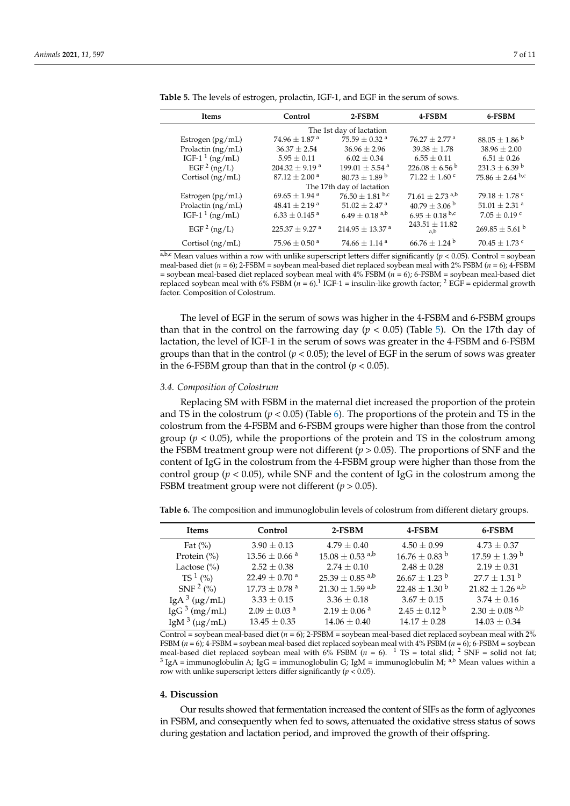| Items                          | Control                        | 2-FSBM                          | 4-FSBM                          | 6-FSBM                         |  |  |  |  |
|--------------------------------|--------------------------------|---------------------------------|---------------------------------|--------------------------------|--|--|--|--|
| The 1st day of lactation       |                                |                                 |                                 |                                |  |  |  |  |
| Estrogen $(pg/mL)$             | $74.96 \pm 1.87$ <sup>a</sup>  | 75.59 $\pm$ 0.32 <sup>a</sup>   | $76.27 \pm 2.77$ <sup>a</sup>   | $88.05 \pm 1.86^{\circ}$       |  |  |  |  |
| Prolactin $(ng/mL)$            | $36.37 \pm 2.54$               | $36.96 \pm 2.96$                | $39.38 \pm 1.78$                | $38.96 \pm 2.00$               |  |  |  |  |
| IGF-1 <sup>1</sup> ( $ng/mL$ ) | $5.95 \pm 0.11$                | $6.02 \pm 0.34$                 | $6.55 \pm 0.11$                 | $6.51 \pm 0.26$                |  |  |  |  |
| EGF $2$ (ng/L)                 | $204.32 \pm 9.19$ <sup>a</sup> | $199.01 \pm 5.54$ <sup>a</sup>  | $226.08 \pm 6.56^{\mathrm{b}}$  | $231.3 \pm 6.39^{\mathrm{b}}$  |  |  |  |  |
| Cortisol $(ng/mL)$             | $87.12 \pm 2.00$ <sup>a</sup>  | $80.73 \pm 1.89$ <sup>b</sup>   | $71.22 \pm 1.60$ c              | $75.86 \pm 2.64$ b,c           |  |  |  |  |
| The 17th day of lactation      |                                |                                 |                                 |                                |  |  |  |  |
| Estrogen (pg/mL)               | $69.65 \pm 1.94$ <sup>a</sup>  | $76.50 \pm 1.81$ b,c            | $71.61 \pm 2.73$ <sup>a,b</sup> | 79.18 $\pm$ 1.78 °             |  |  |  |  |
| Prolactin $(ng/mL)$            | $48.41 \pm 2.19$ <sup>a</sup>  | $51.02 \pm 2.47$ <sup>a</sup>   | $40.79 \pm 3.06^{\mathrm{b}}$   | $51.01 \pm 2.31$ <sup>a</sup>  |  |  |  |  |
| IGF-1 <sup>1</sup> ( $ng/mL$ ) | $6.33 \pm 0.145$ <sup>a</sup>  | $6.49 \pm 0.18$ <sup>a,b</sup>  | $6.95 \pm 0.18$ b,c             | $7.05 \pm 0.19$ c              |  |  |  |  |
| EGF $2$ (ng/L)                 | $225.37 \pm 9.27$ <sup>a</sup> | $214.95 \pm 13.37$ <sup>a</sup> | $243.51 \pm 11.82$<br>a,b       | $269.85 \pm 5.61$ <sup>b</sup> |  |  |  |  |
| Cortisol $(ng/mL)$             | 75.96 $\pm$ 0.50 $^{a}$        | $74.66 \pm 1.14$ <sup>a</sup>   | $66.76 \pm 1.24$ <sup>b</sup>   | $70.45 \pm 1.73$ c             |  |  |  |  |

<span id="page-6-0"></span>

| <b>Table 5.</b> The levels of estrogen, prolactin, IGF-1, and EGF in the serum of sows. |
|-----------------------------------------------------------------------------------------|
|-----------------------------------------------------------------------------------------|

 $a,b,c$  Mean values within a row with unlike superscript letters differ significantly ( $p < 0.05$ ). Control = soybean meal-based diet (*n* = 6); 2-FSBM = soybean meal-based diet replaced soybean meal with 2% FSBM (*n* = 6); 4-FSBM = soybean meal-based diet replaced soybean meal with 4% FSBM (*n* = 6); 6-FSBM = soybean meal-based diet replaced soybean meal with  $6\%$  FSBM ( $n = 6$ ).<sup>1</sup> IGF-1 = insulin-like growth factor; <sup>2</sup> EGF = epidermal growth factor. Composition of Colostrum.

The level of EGF in the serum of sows was higher in the 4-FSBM and 6-FSBM groups than that in the control on the farrowing day  $(p < 0.05)$  $(p < 0.05)$  (Table 5). On the 17th day of lactation, the level of IGF-1 in the serum of sows was greater in the 4-FSBM and 6-FSBM groups than that in the control  $(p < 0.05)$ ; the level of EGF in the serum of sows was greater in the 6-FSBM group than that in the control  $(p < 0.05)$ .

#### *3.4. Composition of Colostrum*

Replacing SM with FSBM in the maternal diet increased the proportion of the protein and TS in the colostrum ( $p < 0.05$ ) (Table [6\)](#page-6-1). The proportions of the protein and TS in the colostrum from the 4-FSBM and 6-FSBM groups were higher than those from the control group  $(p < 0.05)$ , while the proportions of the protein and TS in the colostrum among the FSBM treatment group were not different (*p* > 0.05). The proportions of SNF and the content of IgG in the colostrum from the 4-FSBM group were higher than those from the control group ( $p < 0.05$ ), while SNF and the content of IgG in the colostrum among the FSBM treatment group were not different (*p* > 0.05).

<span id="page-6-1"></span>**Table 6.** The composition and immunoglobulin levels of colostrum from different dietary groups.

| Items                    | Control                       | 2-FSBM                          | 4-FSBM                        | 6-FSBM                          |
|--------------------------|-------------------------------|---------------------------------|-------------------------------|---------------------------------|
| Fat $(\%)$               | $3.90 \pm 0.13$               | $4.79 \pm 0.40$                 | $4.50 \pm 0.99$               | $4.73 \pm 0.37$                 |
| Protein $(\% )$          | $13.56 \pm 0.66$ <sup>a</sup> | $15.08 \pm 0.53$ <sup>a,b</sup> | $16.76 \pm 0.83$ <sup>b</sup> | $17.59 \pm 1.39$ b              |
| Lactose $(\% )$          | $2.52 \pm 0.38$               | $2.74 \pm 0.10$                 | $2.48 \pm 0.28$               | $2.19 \pm 0.31$                 |
| $TS^1$ (%)               | $22.49 \pm 0.70$ <sup>a</sup> | $25.39 \pm 0.85$ <sup>a,b</sup> | $26.67 + 1.23^{b}$            | $27.7 \pm 1.31$ <sup>b</sup>    |
| SNF <sup>2</sup> (%)     | $17.73 \pm 0.78$ <sup>a</sup> | $21.30 \pm 1.59$ <sup>a,b</sup> | $22.48 \pm 1.30^{\mathrm{b}}$ | $21.82 \pm 1.26$ <sup>a,b</sup> |
| IgA $3 \mu g /$ mL)      | $3.33 \pm 0.15$               | $3.36 \pm 0.18$                 | $3.67 \pm 0.15$               | $3.74 \pm 0.16$                 |
| IgG <sup>3</sup> (mg/mL) | $2.09 \pm 0.03$ <sup>a</sup>  | $2.19 \pm 0.06$ <sup>a</sup>    | $2.45 \pm 0.12$ <sup>b</sup>  | $2.30 \pm 0.08$ <sup>a,b</sup>  |
| IgM $3 \, (\mu g/mL)$    | $13.45 + 0.35$                | $14.06 + 0.40$                  | $14.17 + 0.28$                | $14.03 + 0.34$                  |

Control = soybean meal-based diet  $(n = 6)$ ; 2-FSBM = soybean meal-based diet replaced soybean meal with 2% FSBM (*n* = 6); 4-FSBM = soybean meal-based diet replaced soybean meal with 4% FSBM (*n* = 6); 6-FSBM = soybean meal-based diet replaced soybean meal with 6% FSBM ( $n = 6$ ). <sup>1</sup> TS = total slid; <sup>2</sup> SNF = solid not fat;  $^3$  IgA = immunoglobulin A; IgG = immunoglobulin G; IgM = immunoglobulin M; <sup>a,b</sup> Mean values within a row with unlike superscript letters differ significantly ( $p < 0.05$ ).

# **4. Discussion**

Our results showed that fermentation increased the content of SIFs as the form of aglycones in FSBM, and consequently when fed to sows, attenuated the oxidative stress status of sows during gestation and lactation period, and improved the growth of their offspring.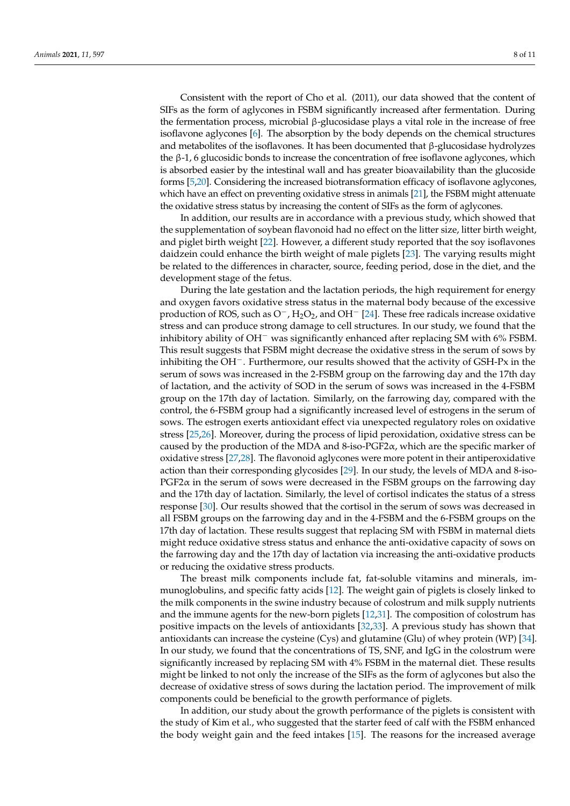Consistent with the report of Cho et al. (2011), our data showed that the content of SIFs as the form of aglycones in FSBM significantly increased after fermentation. During the fermentation process, microbial β-glucosidase plays a vital role in the increase of free isoflavone aglycones [\[6\]](#page-9-3). The absorption by the body depends on the chemical structures and metabolites of the isoflavones. It has been documented that  $\beta$ -glucosidase hydrolyzes the β-1, 6 glucosidic bonds to increase the concentration of free isoflavone aglycones, which is absorbed easier by the intestinal wall and has greater bioavailability than the glucoside forms [\[5,](#page-9-2)[20\]](#page-9-17). Considering the increased biotransformation efficacy of isoflavone aglycones, which have an effect on preventing oxidative stress in animals [\[21\]](#page-9-18), the FSBM might attenuate the oxidative stress status by increasing the content of SIFs as the form of aglycones.

In addition, our results are in accordance with a previous study, which showed that the supplementation of soybean flavonoid had no effect on the litter size, litter birth weight, and piglet birth weight [\[22\]](#page-9-19). However, a different study reported that the soy isoflavones daidzein could enhance the birth weight of male piglets [\[23\]](#page-9-20). The varying results might be related to the differences in character, source, feeding period, dose in the diet, and the development stage of the fetus.

During the late gestation and the lactation periods, the high requirement for energy and oxygen favors oxidative stress status in the maternal body because of the excessive production of ROS, such as  $O^-$ , H<sub>2</sub>O<sub>2</sub>, and OH<sup>-</sup> [\[24\]](#page-9-21). These free radicals increase oxidative stress and can produce strong damage to cell structures. In our study, we found that the inhibitory ability of OH<sup>−</sup> was significantly enhanced after replacing SM with 6% FSBM. This result suggests that FSBM might decrease the oxidative stress in the serum of sows by inhibiting the OH−. Furthermore, our results showed that the activity of GSH-Px in the serum of sows was increased in the 2-FSBM group on the farrowing day and the 17th day of lactation, and the activity of SOD in the serum of sows was increased in the 4-FSBM group on the 17th day of lactation. Similarly, on the farrowing day, compared with the control, the 6-FSBM group had a significantly increased level of estrogens in the serum of sows. The estrogen exerts antioxidant effect via unexpected regulatory roles on oxidative stress [\[25](#page-9-22)[,26\]](#page-9-23). Moreover, during the process of lipid peroxidation, oxidative stress can be caused by the production of the MDA and 8-iso-PGF2 $\alpha$ , which are the specific marker of oxidative stress [\[27](#page-9-24)[,28\]](#page-9-25). The flavonoid aglycones were more potent in their antiperoxidative action than their corresponding glycosides [\[29\]](#page-9-26). In our study, the levels of MDA and 8-iso- $PGF2\alpha$  in the serum of sows were decreased in the FSBM groups on the farrowing day and the 17th day of lactation. Similarly, the level of cortisol indicates the status of a stress response [\[30\]](#page-10-0). Our results showed that the cortisol in the serum of sows was decreased in all FSBM groups on the farrowing day and in the 4-FSBM and the 6-FSBM groups on the 17th day of lactation. These results suggest that replacing SM with FSBM in maternal diets might reduce oxidative stress status and enhance the anti-oxidative capacity of sows on the farrowing day and the 17th day of lactation via increasing the anti-oxidative products or reducing the oxidative stress products.

The breast milk components include fat, fat-soluble vitamins and minerals, immunoglobulins, and specific fatty acids [\[12\]](#page-9-9). The weight gain of piglets is closely linked to the milk components in the swine industry because of colostrum and milk supply nutrients and the immune agents for the new-born piglets [\[12,](#page-9-9)[31\]](#page-10-1). The composition of colostrum has positive impacts on the levels of antioxidants [\[32](#page-10-2)[,33\]](#page-10-3). A previous study has shown that antioxidants can increase the cysteine (Cys) and glutamine (Glu) of whey protein (WP) [\[34\]](#page-10-4). In our study, we found that the concentrations of TS, SNF, and IgG in the colostrum were significantly increased by replacing SM with 4% FSBM in the maternal diet. These results might be linked to not only the increase of the SIFs as the form of aglycones but also the decrease of oxidative stress of sows during the lactation period. The improvement of milk components could be beneficial to the growth performance of piglets.

In addition, our study about the growth performance of the piglets is consistent with the study of Kim et al., who suggested that the starter feed of calf with the FSBM enhanced the body weight gain and the feed intakes [\[15\]](#page-9-12). The reasons for the increased average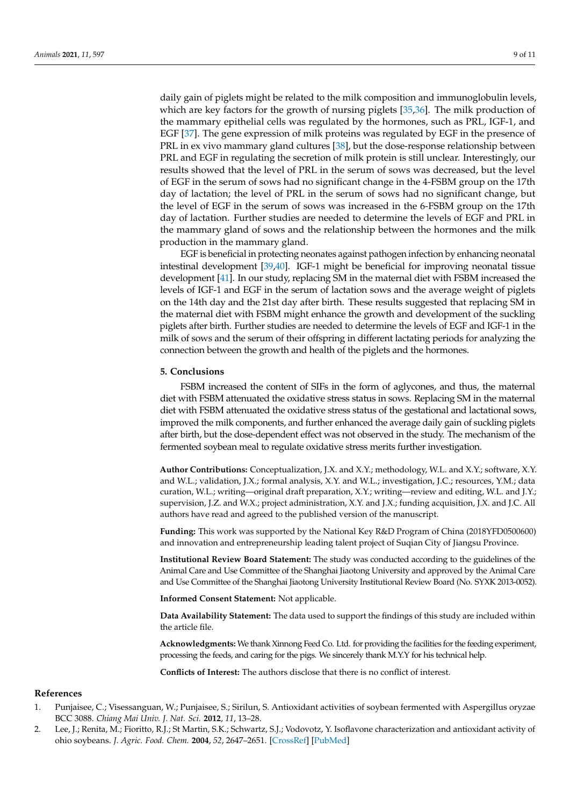daily gain of piglets might be related to the milk composition and immunoglobulin levels, which are key factors for the growth of nursing piglets [\[35,](#page-10-5)[36\]](#page-10-6). The milk production of the mammary epithelial cells was regulated by the hormones, such as PRL, IGF-1, and EGF [\[37\]](#page-10-7). The gene expression of milk proteins was regulated by EGF in the presence of PRL in ex vivo mammary gland cultures [\[38\]](#page-10-8), but the dose-response relationship between PRL and EGF in regulating the secretion of milk protein is still unclear. Interestingly, our results showed that the level of PRL in the serum of sows was decreased, but the level of EGF in the serum of sows had no significant change in the 4-FSBM group on the 17th day of lactation; the level of PRL in the serum of sows had no significant change, but the level of EGF in the serum of sows was increased in the 6-FSBM group on the 17th day of lactation. Further studies are needed to determine the levels of EGF and PRL in the mammary gland of sows and the relationship between the hormones and the milk production in the mammary gland.

EGF is beneficial in protecting neonates against pathogen infection by enhancing neonatal intestinal development [\[39](#page-10-9)[,40\]](#page-10-10). IGF-1 might be beneficial for improving neonatal tissue development [\[41\]](#page-10-11). In our study, replacing SM in the maternal diet with FSBM increased the levels of IGF-1 and EGF in the serum of lactation sows and the average weight of piglets on the 14th day and the 21st day after birth. These results suggested that replacing SM in the maternal diet with FSBM might enhance the growth and development of the suckling piglets after birth. Further studies are needed to determine the levels of EGF and IGF-1 in the milk of sows and the serum of their offspring in different lactating periods for analyzing the connection between the growth and health of the piglets and the hormones.

#### **5. Conclusions**

FSBM increased the content of SIFs in the form of aglycones, and thus, the maternal diet with FSBM attenuated the oxidative stress status in sows. Replacing SM in the maternal diet with FSBM attenuated the oxidative stress status of the gestational and lactational sows, improved the milk components, and further enhanced the average daily gain of suckling piglets after birth, but the dose-dependent effect was not observed in the study. The mechanism of the fermented soybean meal to regulate oxidative stress merits further investigation.

**Author Contributions:** Conceptualization, J.X. and X.Y.; methodology, W.L. and X.Y.; software, X.Y. and W.L.; validation, J.X.; formal analysis, X.Y. and W.L.; investigation, J.C.; resources, Y.M.; data curation, W.L.; writing—original draft preparation, X.Y.; writing—review and editing, W.L. and J.Y.; supervision, J.Z. and W.X.; project administration, X.Y. and J.X.; funding acquisition, J.X. and J.C. All authors have read and agreed to the published version of the manuscript.

**Funding:** This work was supported by the National Key R&D Program of China (2018YFD0500600) and innovation and entrepreneurship leading talent project of Suqian City of Jiangsu Province.

**Institutional Review Board Statement:** The study was conducted according to the guidelines of the Animal Care and Use Committee of the Shanghai Jiaotong University and approved by the Animal Care and Use Committee of the Shanghai Jiaotong University Institutional Review Board (No. SYXK 2013-0052).

**Informed Consent Statement:** Not applicable.

**Data Availability Statement:** The data used to support the findings of this study are included within the article file.

**Acknowledgments:** We thank Xinnong Feed Co. Ltd. for providing the facilities for the feeding experiment, processing the feeds, and caring for the pigs. We sincerely thank M.Y.Y for his technical help.

**Conflicts of Interest:** The authors disclose that there is no conflict of interest.

#### **References**

- <span id="page-8-0"></span>1. Punjaisee, C.; Visessanguan, W.; Punjaisee, S.; Sirilun, S. Antioxidant activities of soybean fermented with Aspergillus oryzae BCC 3088. *Chiang Mai Univ. J. Nat. Sci.* **2012**, *11*, 13–28.
- 2. Lee, J.; Renita, M.; Fioritto, R.J.; St Martin, S.K.; Schwartz, S.J.; Vodovotz, Y. Isoflavone characterization and antioxidant activity of ohio soybeans. *J. Agric. Food. Chem.* **2004**, *52*, 2647–2651. [\[CrossRef\]](http://doi.org/10.1021/jf035426m) [\[PubMed\]](http://www.ncbi.nlm.nih.gov/pubmed/15113172)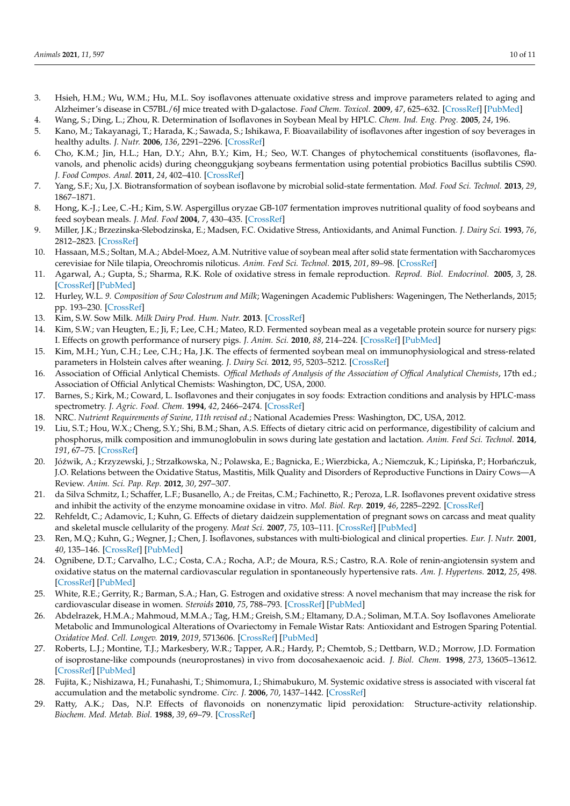- <span id="page-9-0"></span>3. Hsieh, H.M.; Wu, W.M.; Hu, M.L. Soy isoflavones attenuate oxidative stress and improve parameters related to aging and Alzheimer's disease in C57BL/6J mice treated with D-galactose. *Food Chem. Toxicol.* **2009**, *47*, 625–632. [\[CrossRef\]](http://doi.org/10.1016/j.fct.2008.12.026) [\[PubMed\]](http://www.ncbi.nlm.nih.gov/pubmed/19146912)
- <span id="page-9-1"></span>4. Wang, S.; Ding, L.; Zhou, R. Determination of Isoflavones in Soybean Meal by HPLC. *Chem. Ind. Eng. Prog.* **2005**, *24*, 196.
- <span id="page-9-2"></span>5. Kano, M.; Takayanagi, T.; Harada, K.; Sawada, S.; Ishikawa, F. Bioavailability of isoflavones after ingestion of soy beverages in healthy adults. *J. Nutr.* **2006**, *136*, 2291–2296. [\[CrossRef\]](http://doi.org/10.1093/jn/136.9.2291)
- <span id="page-9-3"></span>6. Cho, K.M.; Jin, H.L.; Han, D.Y.; Ahn, B.Y.; Kim, H.; Seo, W.T. Changes of phytochemical constituents (isoflavones, flavanols, and phenolic acids) during cheonggukjang soybeans fermentation using potential probiotics Bacillus subtilis CS90. *J. Food Compos. Anal.* **2011**, *24*, 402–410. [\[CrossRef\]](http://doi.org/10.1016/j.jfca.2010.12.015)
- <span id="page-9-4"></span>7. Yang, S.F.; Xu, J.X. Biotransformation of soybean isoflavone by microbial solid-state fermentation. *Mod. Food Sci. Technol.* **2013**, *29*, 1867–1871.
- <span id="page-9-5"></span>8. Hong, K.-J.; Lee, C.-H.; Kim, S.W. Aspergillus oryzae GB-107 fermentation improves nutritional quality of food soybeans and feed soybean meals. *J. Med. Food* **2004**, *7*, 430–435. [\[CrossRef\]](http://doi.org/10.1089/jmf.2004.7.430)
- <span id="page-9-6"></span>9. Miller, J.K.; Brzezinska-Slebodzinska, E.; Madsen, F.C. Oxidative Stress, Antioxidants, and Animal Function. *J. Dairy Sci.* **1993**, *76*, 2812–2823. [\[CrossRef\]](http://doi.org/10.3168/jds.S0022-0302(93)77620-1)
- <span id="page-9-7"></span>10. Hassaan, M.S.; Soltan, M.A.; Abdel-Moez, A.M. Nutritive value of soybean meal after solid state fermentation with Saccharomyces cerevisiae for Nile tilapia, Oreochromis niloticus. *Anim. Feed Sci. Technol.* **2015**, *201*, 89–98. [\[CrossRef\]](http://doi.org/10.1016/j.anifeedsci.2015.01.007)
- <span id="page-9-8"></span>11. Agarwal, A.; Gupta, S.; Sharma, R.K. Role of oxidative stress in female reproduction. *Reprod. Biol. Endocrinol.* **2005**, *3*, 28. [\[CrossRef\]](http://doi.org/10.1186/1477-7827-3-28) [\[PubMed\]](http://www.ncbi.nlm.nih.gov/pubmed/16018814)
- <span id="page-9-9"></span>12. Hurley, W.L. *9. Composition of Sow Colostrum and Milk*; Wageningen Academic Publishers: Wageningen, The Netherlands, 2015; pp. 193–230. [\[CrossRef\]](http://doi.org/10.3920/978-90-8686-803-2_9)
- <span id="page-9-10"></span>13. Kim, S.W. Sow Milk. *Milk Dairy Prod. Hum. Nutr.* **2013**. [\[CrossRef\]](http://doi.org/10.1002/9781118534168.ch28)
- <span id="page-9-11"></span>14. Kim, S.W.; van Heugten, E.; Ji, F.; Lee, C.H.; Mateo, R.D. Fermented soybean meal as a vegetable protein source for nursery pigs: I. Effects on growth performance of nursery pigs. *J. Anim. Sci.* **2010**, *88*, 214–224. [\[CrossRef\]](http://doi.org/10.2527/jas.2009-1993) [\[PubMed\]](http://www.ncbi.nlm.nih.gov/pubmed/19783703)
- <span id="page-9-12"></span>15. Kim, M.H.; Yun, C.H.; Lee, C.H.; Ha, J.K. The effects of fermented soybean meal on immunophysiological and stress-related parameters in Holstein calves after weaning. *J. Dairy Sci.* **2012**, *95*, 5203–5212. [\[CrossRef\]](http://doi.org/10.3168/jds.2012-5317)
- <span id="page-9-13"></span>16. Association of Official Anlytical Chemists. *Offical Methods of Analysis of the Association of Offical Analytical Chemists*, 17th ed.; Association of Official Anlytical Chemists: Washington, DC, USA, 2000.
- <span id="page-9-14"></span>17. Barnes, S.; Kirk, M.; Coward, L. Isoflavones and their conjugates in soy foods: Extraction conditions and analysis by HPLC-mass spectrometry. *J. Agric. Food. Chem.* **1994**, *42*, 2466–2474. [\[CrossRef\]](http://doi.org/10.1021/jf00047a019)
- <span id="page-9-15"></span>18. NRC. *Nutrient Requirements of Swine, 11th revised ed.*; National Academies Press: Washington, DC, USA, 2012.
- <span id="page-9-16"></span>19. Liu, S.T.; Hou, W.X.; Cheng, S.Y.; Shi, B.M.; Shan, A.S. Effects of dietary citric acid on performance, digestibility of calcium and phosphorus, milk composition and immunoglobulin in sows during late gestation and lactation. *Anim. Feed Sci. Technol.* **2014**, *191*, 67–75. [\[CrossRef\]](http://doi.org/10.1016/j.anifeedsci.2014.01.017)
- <span id="page-9-17"></span>20. Jóźwik, A.; Krzyzewski, J.; Strzałkowska, N.; Polawska, E.; Bagnicka, E.; Wierzbicka, A.; Niemczuk, K.; Lipińska, P.; Horbańczuk, J.O. Relations between the Oxidative Status, Mastitis, Milk Quality and Disorders of Reproductive Functions in Dairy Cows—A Review. *Anim. Sci. Pap. Rep.* **2012**, *30*, 297–307.
- <span id="page-9-18"></span>21. da Silva Schmitz, I.; Schaffer, L.F.; Busanello, A.; de Freitas, C.M.; Fachinetto, R.; Peroza, L.R. Isoflavones prevent oxidative stress and inhibit the activity of the enzyme monoamine oxidase in vitro. *Mol. Biol. Rep.* **2019**, *46*, 2285–2292. [\[CrossRef\]](http://doi.org/10.1007/s11033-019-04684-z)
- <span id="page-9-19"></span>22. Rehfeldt, C.; Adamovic, I.; Kuhn, G. Effects of dietary daidzein supplementation of pregnant sows on carcass and meat quality and skeletal muscle cellularity of the progeny. *Meat Sci.* **2007**, *75*, 103–111. [\[CrossRef\]](http://doi.org/10.1016/j.meatsci.2006.06.028) [\[PubMed\]](http://www.ncbi.nlm.nih.gov/pubmed/22063417)
- <span id="page-9-20"></span>23. Ren, M.Q.; Kuhn, G.; Wegner, J.; Chen, J. Isoflavones, substances with multi-biological and clinical properties. *Eur. J. Nutr.* **2001**, *40*, 135–146. [\[CrossRef\]](http://doi.org/10.1007/PL00007388) [\[PubMed\]](http://www.ncbi.nlm.nih.gov/pubmed/11905954)
- <span id="page-9-21"></span>24. Ognibene, D.T.; Carvalho, L.C.; Costa, C.A.; Rocha, A.P.; de Moura, R.S.; Castro, R.A. Role of renin-angiotensin system and oxidative status on the maternal cardiovascular regulation in spontaneously hypertensive rats. *Am. J. Hypertens.* **2012**, *25*, 498. [\[CrossRef\]](http://doi.org/10.1038/ajh.2011.253) [\[PubMed\]](http://www.ncbi.nlm.nih.gov/pubmed/22258331)
- <span id="page-9-22"></span>25. White, R.E.; Gerrity, R.; Barman, S.A.; Han, G. Estrogen and oxidative stress: A novel mechanism that may increase the risk for cardiovascular disease in women. *Steroids* **2010**, *75*, 788–793. [\[CrossRef\]](http://doi.org/10.1016/j.steroids.2009.12.007) [\[PubMed\]](http://www.ncbi.nlm.nih.gov/pubmed/20060403)
- <span id="page-9-23"></span>26. Abdelrazek, H.M.A.; Mahmoud, M.M.A.; Tag, H.M.; Greish, S.M.; Eltamany, D.A.; Soliman, M.T.A. Soy Isoflavones Ameliorate Metabolic and Immunological Alterations of Ovariectomy in Female Wistar Rats: Antioxidant and Estrogen Sparing Potential. *Oxidative Med. Cell. Longev.* **2019**, *2019*, 5713606. [\[CrossRef\]](http://doi.org/10.1155/2019/5713606) [\[PubMed\]](http://www.ncbi.nlm.nih.gov/pubmed/30733850)
- <span id="page-9-24"></span>27. Roberts, L.J.; Montine, T.J.; Markesbery, W.R.; Tapper, A.R.; Hardy, P.; Chemtob, S.; Dettbarn, W.D.; Morrow, J.D. Formation of isoprostane-like compounds (neuroprostanes) in vivo from docosahexaenoic acid. *J. Biol. Chem.* **1998**, *273*, 13605–13612. [\[CrossRef\]](http://doi.org/10.1074/jbc.273.22.13605) [\[PubMed\]](http://www.ncbi.nlm.nih.gov/pubmed/9593698)
- <span id="page-9-25"></span>28. Fujita, K.; Nishizawa, H.; Funahashi, T.; Shimomura, I.; Shimabukuro, M. Systemic oxidative stress is associated with visceral fat accumulation and the metabolic syndrome. *Circ. J.* **2006**, *70*, 1437–1442. [\[CrossRef\]](http://doi.org/10.1253/circj.70.1437)
- <span id="page-9-26"></span>29. Ratty, A.K.; Das, N.P. Effects of flavonoids on nonenzymatic lipid peroxidation: Structure-activity relationship. *Biochem. Med. Metab. Biol.* **1988**, *39*, 69–79. [\[CrossRef\]](http://doi.org/10.1016/0885-4505(88)90060-6)